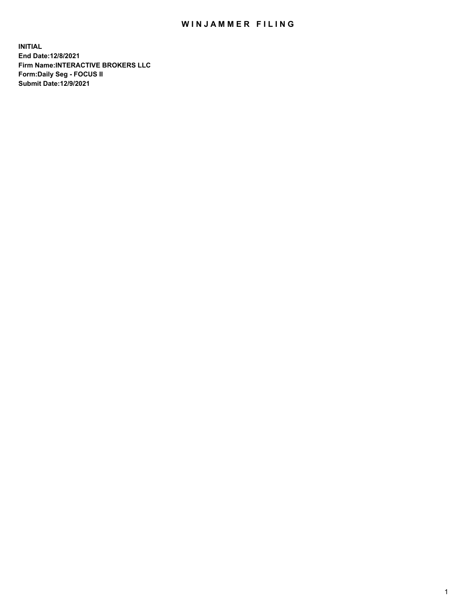## WIN JAMMER FILING

**INITIAL End Date:12/8/2021 Firm Name:INTERACTIVE BROKERS LLC Form:Daily Seg - FOCUS II Submit Date:12/9/2021**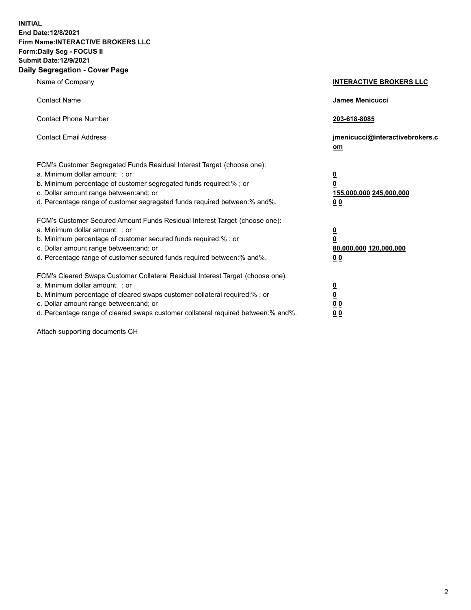**INITIAL End Date:12/8/2021 Firm Name:INTERACTIVE BROKERS LLC Form:Daily Seg - FOCUS II Submit Date:12/9/2021 Daily Segregation - Cover Page**

| Name of Company                                                                                                                                                                                                                                                                                                               | <b>INTERACTIVE BROKERS LLC</b>                                                            |  |
|-------------------------------------------------------------------------------------------------------------------------------------------------------------------------------------------------------------------------------------------------------------------------------------------------------------------------------|-------------------------------------------------------------------------------------------|--|
| <b>Contact Name</b>                                                                                                                                                                                                                                                                                                           | James Menicucci                                                                           |  |
| <b>Contact Phone Number</b>                                                                                                                                                                                                                                                                                                   | 203-618-8085                                                                              |  |
| <b>Contact Email Address</b>                                                                                                                                                                                                                                                                                                  | jmenicucci@interactivebrokers.c<br><u>om</u>                                              |  |
| FCM's Customer Segregated Funds Residual Interest Target (choose one):<br>a. Minimum dollar amount: ; or<br>b. Minimum percentage of customer segregated funds required:% ; or<br>c. Dollar amount range between: and; or<br>d. Percentage range of customer segregated funds required between: % and %.                      | $\overline{\mathbf{0}}$<br>0<br>155,000,000 245,000,000<br>0 <sub>0</sub>                 |  |
| FCM's Customer Secured Amount Funds Residual Interest Target (choose one):<br>a. Minimum dollar amount: ; or<br>b. Minimum percentage of customer secured funds required:%; or<br>c. Dollar amount range between: and; or<br>d. Percentage range of customer secured funds required between:% and%.                           | <u>0</u><br>$\overline{\mathbf{0}}$<br>80,000,000 120,000,000<br>00                       |  |
| FCM's Cleared Swaps Customer Collateral Residual Interest Target (choose one):<br>a. Minimum dollar amount: ; or<br>b. Minimum percentage of cleared swaps customer collateral required:%; or<br>c. Dollar amount range between: and; or<br>d. Percentage range of cleared swaps customer collateral required between:% and%. | <u>0</u><br>$\underline{\mathbf{0}}$<br>$\underline{0}$ $\underline{0}$<br>0 <sub>0</sub> |  |

Attach supporting documents CH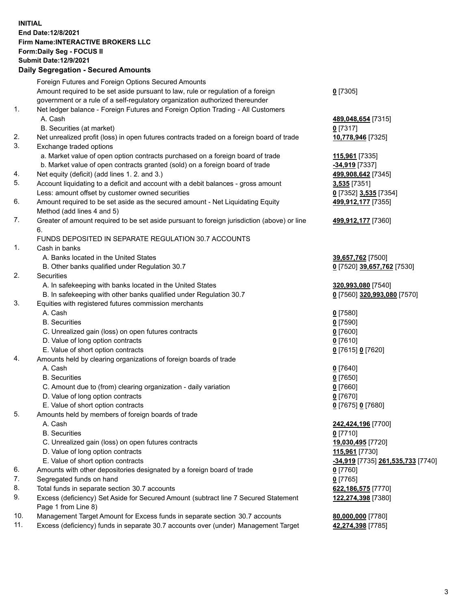**INITIAL End Date:12/8/2021 Firm Name:INTERACTIVE BROKERS LLC Form:Daily Seg - FOCUS II Submit Date:12/9/2021 Daily Segregation - Secured Amounts**

## Foreign Futures and Foreign Options Secured Amounts Amount required to be set aside pursuant to law, rule or regulation of a foreign government or a rule of a self-regulatory organization authorized thereunder **0** [7305] 1. Net ledger balance - Foreign Futures and Foreign Option Trading - All Customers A. Cash **489,048,654** [7315] B. Securities (at market) **0** [7317] 2. Net unrealized profit (loss) in open futures contracts traded on a foreign board of trade **10,778,946** [7325] 3. Exchange traded options a. Market value of open option contracts purchased on a foreign board of trade **115,961** [7335] b. Market value of open contracts granted (sold) on a foreign board of trade **-34,919** [7337] 4. Net equity (deficit) (add lines 1. 2. and 3.) **499,908,642** [7345] 5. Account liquidating to a deficit and account with a debit balances - gross amount **3,535** [7351] Less: amount offset by customer owned securities **0** [7352] **3,535** [7354] 6. Amount required to be set aside as the secured amount - Net Liquidating Equity Method (add lines 4 and 5) **499,912,177** [7355] 7. Greater of amount required to be set aside pursuant to foreign jurisdiction (above) or line 6. **499,912,177** [7360] FUNDS DEPOSITED IN SEPARATE REGULATION 30.7 ACCOUNTS 1. Cash in banks A. Banks located in the United States **39,657,762** [7500] B. Other banks qualified under Regulation 30.7 **0** [7520] **39,657,762** [7530] 2. Securities A. In safekeeping with banks located in the United States **320,993,080** [7540] B. In safekeeping with other banks qualified under Regulation 30.7 **0** [7560] **320,993,080** [7570] 3. Equities with registered futures commission merchants A. Cash **0** [7580] B. Securities **0** [7590] C. Unrealized gain (loss) on open futures contracts **0** [7600] D. Value of long option contracts **0** [7610] E. Value of short option contracts **0** [7615] **0** [7620] 4. Amounts held by clearing organizations of foreign boards of trade A. Cash **0** [7640] B. Securities **0** [7650] C. Amount due to (from) clearing organization - daily variation **0** [7660] D. Value of long option contracts **0** [7670] E. Value of short option contracts **0** [7675] **0** [7680] 5. Amounts held by members of foreign boards of trade A. Cash **242,424,196** [7700] B. Securities **0** [7710] C. Unrealized gain (loss) on open futures contracts **19,030,495** [7720] D. Value of long option contracts **115,961** [7730] E. Value of short option contracts **-34,919** [7735] **261,535,733** [7740] 6. Amounts with other depositories designated by a foreign board of trade **0** [7760] 7. Segregated funds on hand **0** [7765] 8. Total funds in separate section 30.7 accounts **622,186,575** [7770] 9. Excess (deficiency) Set Aside for Secured Amount (subtract line 7 Secured Statement Page 1 from Line 8) **122,274,398** [7380] 10. Management Target Amount for Excess funds in separate section 30.7 accounts **80,000,000** [7780] 11. Excess (deficiency) funds in separate 30.7 accounts over (under) Management Target **42,274,398** [7785]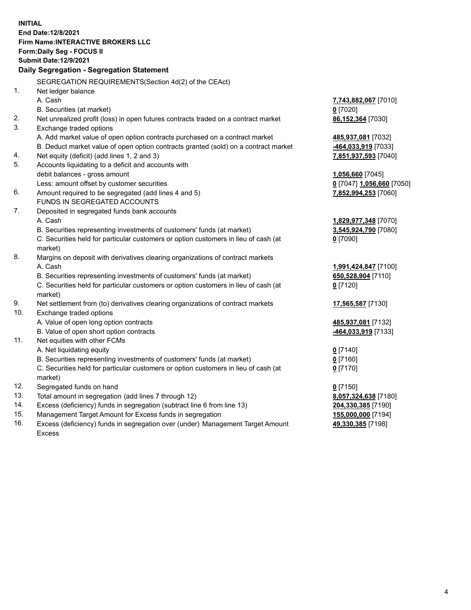**INITIAL End Date:12/8/2021 Firm Name:INTERACTIVE BROKERS LLC Form:Daily Seg - FOCUS II Submit Date:12/9/2021 Daily Segregation - Segregation Statement** SEGREGATION REQUIREMENTS(Section 4d(2) of the CEAct) 1. Net ledger balance A. Cash **7,743,882,067** [7010] B. Securities (at market) **0** [7020] 2. Net unrealized profit (loss) in open futures contracts traded on a contract market **86,152,364** [7030] 3. Exchange traded options A. Add market value of open option contracts purchased on a contract market **485,937,081** [7032] B. Deduct market value of open option contracts granted (sold) on a contract market **-464,033,919** [7033] 4. Net equity (deficit) (add lines 1, 2 and 3) **7,851,937,593** [7040] 5. Accounts liquidating to a deficit and accounts with debit balances - gross amount **1,056,660** [7045] Less: amount offset by customer securities **0** [7047] **1,056,660** [7050] 6. Amount required to be segregated (add lines 4 and 5) **7,852,994,253** [7060] FUNDS IN SEGREGATED ACCOUNTS 7. Deposited in segregated funds bank accounts A. Cash **1,829,977,348** [7070] B. Securities representing investments of customers' funds (at market) **3,545,924,790** [7080] C. Securities held for particular customers or option customers in lieu of cash (at market) **0** [7090] 8. Margins on deposit with derivatives clearing organizations of contract markets A. Cash **1,991,424,847** [7100] B. Securities representing investments of customers' funds (at market) **650,528,904** [7110] C. Securities held for particular customers or option customers in lieu of cash (at market) **0** [7120] 9. Net settlement from (to) derivatives clearing organizations of contract markets **17,565,587** [7130] 10. Exchange traded options A. Value of open long option contracts **485,937,081** [7132] B. Value of open short option contracts **-464,033,919** [7133] 11. Net equities with other FCMs A. Net liquidating equity **0** [7140] B. Securities representing investments of customers' funds (at market) **0** [7160] C. Securities held for particular customers or option customers in lieu of cash (at market) **0** [7170] 12. Segregated funds on hand **0** [7150] 13. Total amount in segregation (add lines 7 through 12) **8,057,324,638** [7180] 14. Excess (deficiency) funds in segregation (subtract line 6 from line 13) **204,330,385** [7190] 15. Management Target Amount for Excess funds in segregation **155,000,000** [7194] **49,330,385** [7198]

16. Excess (deficiency) funds in segregation over (under) Management Target Amount Excess